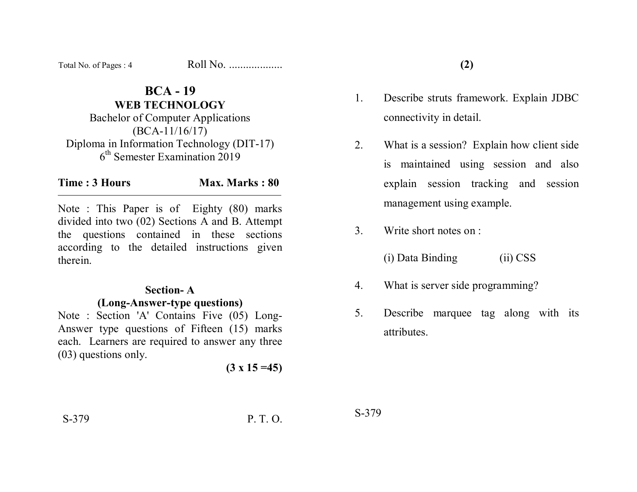| Total No. of Pages: 4 | Roll No. |
|-----------------------|----------|
|-----------------------|----------|

# **BCA - 19 WEB TECHNOLOGY**  Bachelor of Computer Applications (BCA-11/16/17) Diploma in Information Technology (DIT-17) 6th Semester Examination 2019

#### **Time : 3 Hours Max. Marks : 80**

Note : This Paper is of Eighty (80) marks divided into two (02) Sections A and B. Attempt the questions contained in these sections according to the detailed instructions given therein.

## **Section- A (Long-Answer-type questions)**

Note : Section 'A' Contains Five (05) Long-Answer type questions of Fifteen (15) marks each. Learners are required to answer any three (03) questions only.

 $(3 \times 15 = 45)$ 

- 1. Describe struts framework. Explain JDBC connectivity in detail.
- 2. What is a session? Explain how client side is maintained using session and also explain session tracking and session management using example.
- 3. Write short notes on :

(i) Data Binding (ii) CSS

- 4. What is server side programming?
- 5. Describe marquee tag along with its attributes.

S-379 P. T. O.

S-379